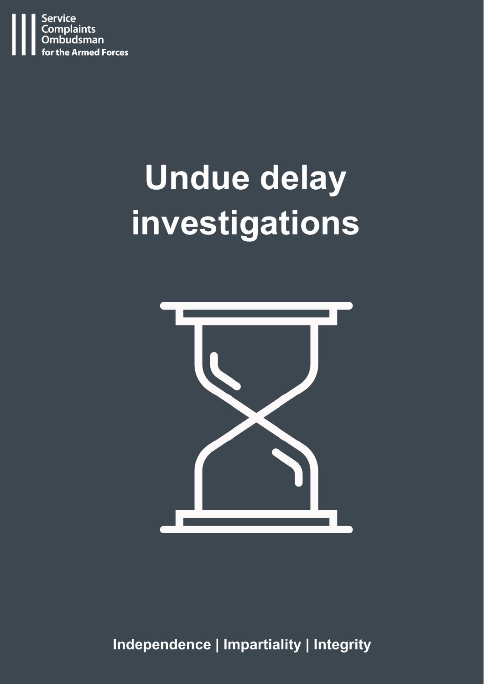

# **Undue delay investigations**



**Independence | Impartiality | Integrity**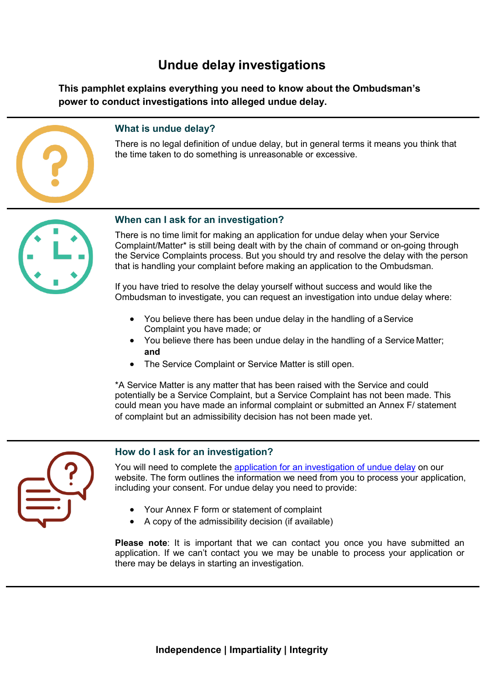# **Undue delay investigations**

**This pamphlet explains everything you need to know about the Ombudsman's power to conduct investigations into alleged undue delay.**



# **What is undue delay?**

There is no legal definition of undue delay, but in general terms it means you think that the time taken to do something is unreasonable or excessive.



## **When can I ask for an investigation?**

There is no time limit for making an application for undue delay when your Service Complaint/Matter\* is still being dealt with by the chain of command or on-going through the Service Complaints process. But you should try and resolve the delay with the person that is handling your complaint before making an application to the Ombudsman.

If you have tried to resolve the delay yourself without success and would like the Ombudsman to investigate, you can request an investigation into undue delay where:

- You believe there has been undue delay in the handling of aService Complaint you have made; or
- You believe there has been undue delay in the handling of a Service Matter; **and**
- The Service Complaint or Service Matter is still open.

\*A Service Matter is any matter that has been raised with the Service and could potentially be a Service Complaint, but a Service Complaint has not been made. This could mean you have made an informal complaint or submitted an Annex F/ statement of complaint but an admissibility decision has not been made yet.



# **How do I ask for an investigation?**

You will need to complete the [application for an investigation of undue](https://www.scoaf.org.uk/download/3887/) delay on our website. The form outlines the information we need from you to process your application, including your consent. For undue delay you need to provide:

- Your Annex F form or statement of complaint
- A copy of the admissibility decision (if available)

**Please note**: It is important that we can contact you once you have submitted an application. If we can't contact you we may be unable to process your application or there may be delays in starting an investigation.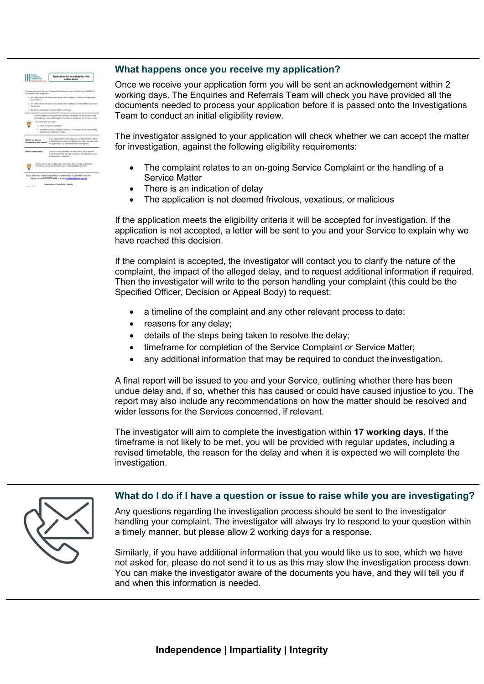

# **What happens once you receive my application?**

Once we receive your application form you will be sent an acknowledgement within 2 working days. The Enquiries and Referrals Team will check you have provided all the documents needed to process your application before it is passed onto the Investigations Team to conduct an initial eligibility review.

The investigator assigned to your application will check whether we can accept the matter for investigation, against the following eligibility requirements:

- The complaint relates to an on-going Service Complaint or the handling of a Service Matter
- There is an indication of delay
- The application is not deemed frivolous, vexatious, or malicious

If the application meets the eligibility criteria it will be accepted for investigation. If the application is not accepted, a letter will be sent to you and your Service to explain why we have reached this decision.

If the complaint is accepted, the investigator will contact you to clarify the nature of the complaint, the impact of the alleged delay, and to request additional information if required. Then the investigator will write to the person handling your complaint (this could be the Specified Officer, Decision or Appeal Body) to request:

- a timeline of the complaint and any other relevant process to date;
- reasons for any delay;
- details of the steps being taken to resolve the delay;
- timeframe for completion of the Service Complaint or Service Matter;
- any additional information that may be required to conduct the investigation.

A final report will be issued to you and your Service, outlining whether there has been undue delay and, if so, whether this has caused or could have caused injustice to you. The report may also include any recommendations on how the matter should be resolved and wider lessons for the Services concerned, if relevant.

The investigator will aim to complete the investigation within **17 working days**. If the timeframe is not likely to be met, you will be provided with regular updates, including a revised timetable, the reason for the delay and when it is expected we will complete the investigation.

### **What do I do if I have a question or issue to raise while you are investigating?**

Any questions regarding the investigation process should be sent to the investigator handling your complaint. The investigator will always try to respond to your question within a timely manner, but please allow 2 working days for a response.

Similarly, if you have additional information that you would like us to see, which we have not asked for, please do not send it to us as this may slow the investigation process down. You can make the investigator aware of the documents you have, and they will tell you if and when this information is needed.